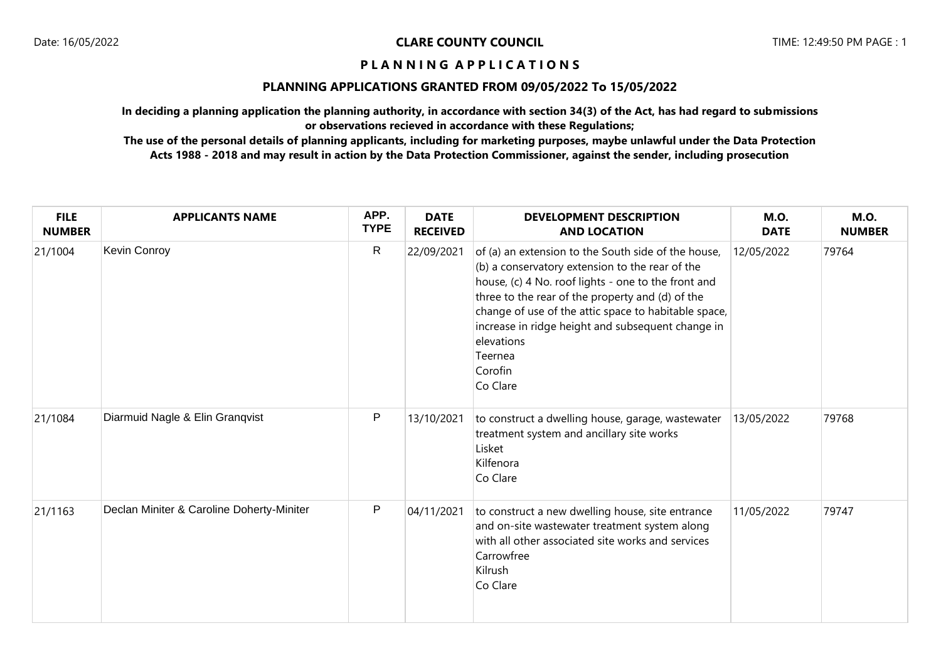# **PLANNING APPLICATIONS GRANTED FROM 09/05/2022 To 15/05/2022**

**In deciding a planning application the planning authority, in accordance with section 34(3) of the Act, has had regard to submissions or observations recieved in accordance with these Regulations;**

| <b>FILE</b><br><b>NUMBER</b> | <b>APPLICANTS NAME</b>                    | APP.<br><b>TYPE</b> | <b>DATE</b><br><b>RECEIVED</b> | <b>DEVELOPMENT DESCRIPTION</b><br><b>AND LOCATION</b>                                                                                                                                                                                                                                                                                                                          | <b>M.O.</b><br><b>DATE</b> | <b>M.O.</b><br><b>NUMBER</b> |
|------------------------------|-------------------------------------------|---------------------|--------------------------------|--------------------------------------------------------------------------------------------------------------------------------------------------------------------------------------------------------------------------------------------------------------------------------------------------------------------------------------------------------------------------------|----------------------------|------------------------------|
| 21/1004                      | Kevin Conroy                              | $\mathsf{R}$        | 22/09/2021                     | of (a) an extension to the South side of the house,<br>(b) a conservatory extension to the rear of the<br>house, (c) 4 No. roof lights - one to the front and<br>three to the rear of the property and (d) of the<br>change of use of the attic space to habitable space,<br>increase in ridge height and subsequent change in<br>elevations<br>Teernea<br>Corofin<br>Co Clare | 12/05/2022                 | 79764                        |
| 21/1084                      | Diarmuid Nagle & Elin Granqvist           | $\mathsf{P}$        | 13/10/2021                     | to construct a dwelling house, garage, wastewater<br>treatment system and ancillary site works<br>Lisket<br>Kilfenora<br>Co Clare                                                                                                                                                                                                                                              | 13/05/2022                 | 79768                        |
| 21/1163                      | Declan Miniter & Caroline Doherty-Miniter | P                   | 04/11/2021                     | to construct a new dwelling house, site entrance<br>and on-site wastewater treatment system along<br>with all other associated site works and services<br>Carrowfree<br>Kilrush<br>Co Clare                                                                                                                                                                                    | 11/05/2022                 | 79747                        |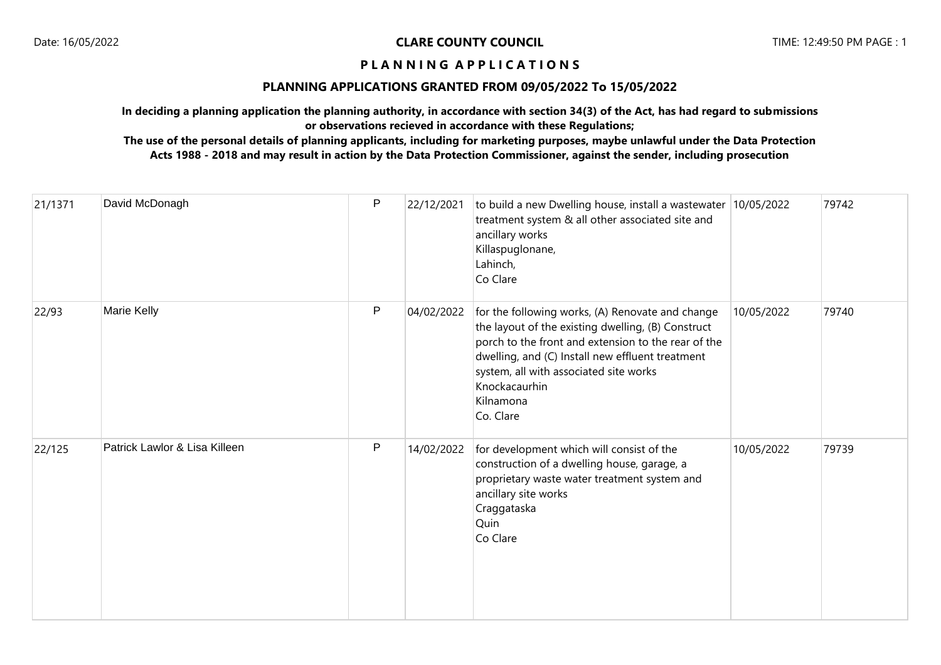# **PLANNING APPLICATIONS GRANTED FROM 09/05/2022 To 15/05/2022**

**In deciding a planning application the planning authority, in accordance with section 34(3) of the Act, has had regard to submissions or observations recieved in accordance with these Regulations;**

| 21/1371 | David McDonagh                | P | 22/12/2021 | to build a new Dwelling house, install a wastewater<br>treatment system & all other associated site and<br>ancillary works<br>Killaspuglonane,<br>Lahinch,<br>Co Clare                                                                                                                                 | 10/05/2022 | 79742 |
|---------|-------------------------------|---|------------|--------------------------------------------------------------------------------------------------------------------------------------------------------------------------------------------------------------------------------------------------------------------------------------------------------|------------|-------|
| 22/93   | Marie Kelly                   | P | 04/02/2022 | for the following works, (A) Renovate and change<br>the layout of the existing dwelling, (B) Construct<br>porch to the front and extension to the rear of the<br>dwelling, and (C) Install new effluent treatment<br>system, all with associated site works<br>Knockacaurhin<br>Kilnamona<br>Co. Clare | 10/05/2022 | 79740 |
| 22/125  | Patrick Lawlor & Lisa Killeen | P | 14/02/2022 | for development which will consist of the<br>construction of a dwelling house, garage, a<br>proprietary waste water treatment system and<br>ancillary site works<br>Craggataska<br>Quin<br>Co Clare                                                                                                    | 10/05/2022 | 79739 |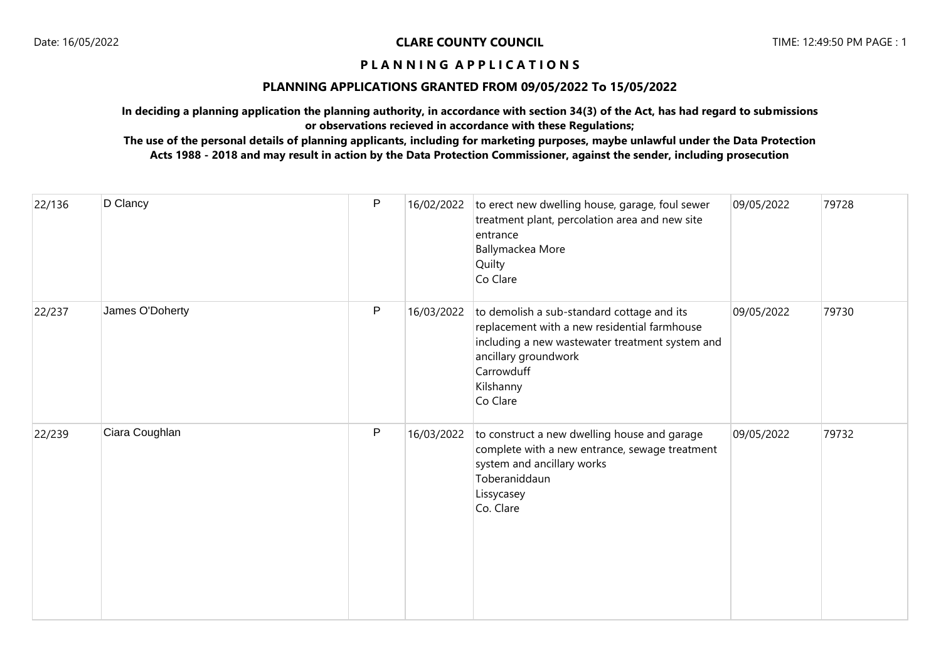# **PLANNING APPLICATIONS GRANTED FROM 09/05/2022 To 15/05/2022**

**In deciding a planning application the planning authority, in accordance with section 34(3) of the Act, has had regard to submissions or observations recieved in accordance with these Regulations;**

| 22/136 | D Clancy        | P | 16/02/2022 | to erect new dwelling house, garage, foul sewer<br>treatment plant, percolation area and new site<br>entrance<br>Ballymackea More<br>Quilty<br>Co Clare                                                      | 09/05/2022 | 79728 |
|--------|-----------------|---|------------|--------------------------------------------------------------------------------------------------------------------------------------------------------------------------------------------------------------|------------|-------|
| 22/237 | James O'Doherty | P | 16/03/2022 | to demolish a sub-standard cottage and its<br>replacement with a new residential farmhouse<br>including a new wastewater treatment system and<br>ancillary groundwork<br>Carrowduff<br>Kilshanny<br>Co Clare | 09/05/2022 | 79730 |
| 22/239 | Ciara Coughlan  | P | 16/03/2022 | to construct a new dwelling house and garage<br>complete with a new entrance, sewage treatment<br>system and ancillary works<br>Toberaniddaun<br>Lissycasey<br>Co. Clare                                     | 09/05/2022 | 79732 |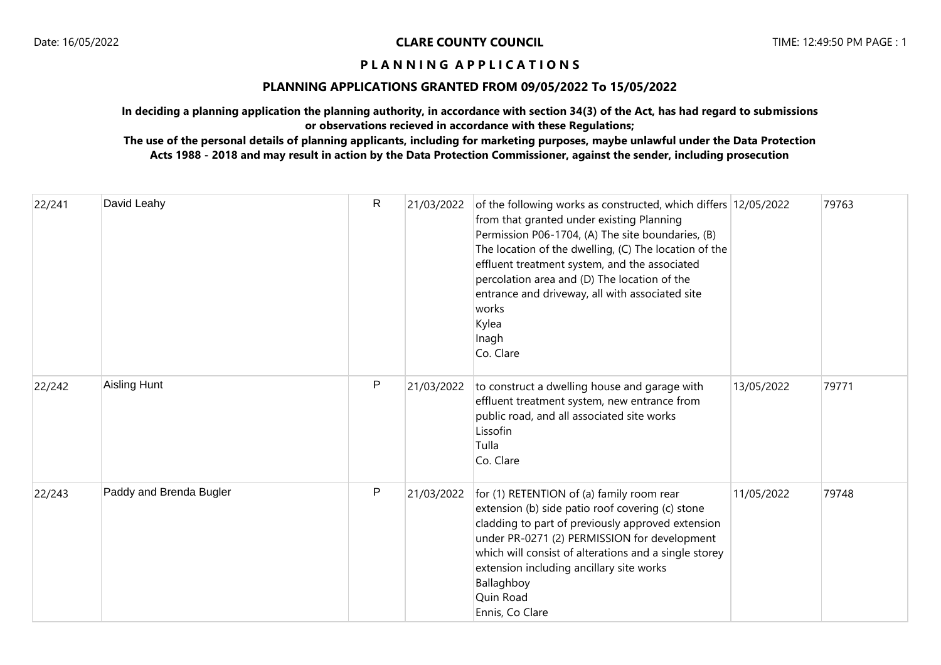# **PLANNING APPLICATIONS GRANTED FROM 09/05/2022 To 15/05/2022**

**In deciding a planning application the planning authority, in accordance with section 34(3) of the Act, has had regard to submissions or observations recieved in accordance with these Regulations;**

| 22/241 | David Leahy             | $\mathsf{R}$ | 21/03/2022 | of the following works as constructed, which differs 12/05/2022<br>from that granted under existing Planning<br>Permission P06-1704, (A) The site boundaries, (B)<br>The location of the dwelling, (C) The location of the<br>effluent treatment system, and the associated<br>percolation area and (D) The location of the<br>entrance and driveway, all with associated site<br>works<br>Kylea<br>Inagh<br>Co. Clare |            | 79763 |
|--------|-------------------------|--------------|------------|------------------------------------------------------------------------------------------------------------------------------------------------------------------------------------------------------------------------------------------------------------------------------------------------------------------------------------------------------------------------------------------------------------------------|------------|-------|
| 22/242 | Aisling Hunt            | P            | 21/03/2022 | to construct a dwelling house and garage with<br>effluent treatment system, new entrance from<br>public road, and all associated site works<br>Lissofin<br>Tulla<br>Co. Clare                                                                                                                                                                                                                                          | 13/05/2022 | 79771 |
| 22/243 | Paddy and Brenda Bugler | P            | 21/03/2022 | for (1) RETENTION of (a) family room rear<br>extension (b) side patio roof covering (c) stone<br>cladding to part of previously approved extension<br>under PR-0271 (2) PERMISSION for development<br>which will consist of alterations and a single storey<br>extension including ancillary site works<br>Ballaghboy<br>Quin Road<br>Ennis, Co Clare                                                                  | 11/05/2022 | 79748 |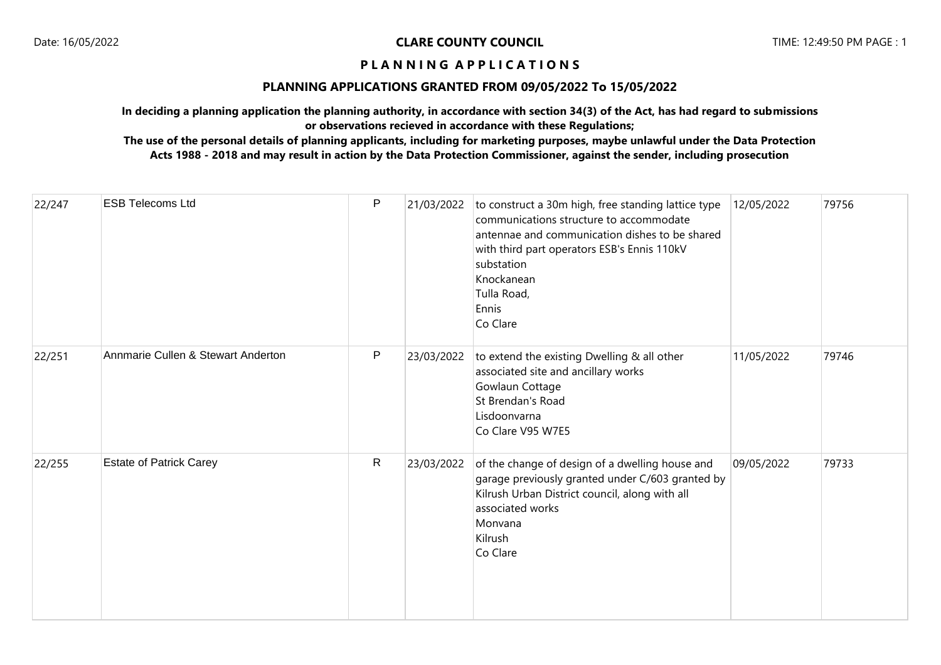# **PLANNING APPLICATIONS GRANTED FROM 09/05/2022 To 15/05/2022**

**In deciding a planning application the planning authority, in accordance with section 34(3) of the Act, has had regard to submissions or observations recieved in accordance with these Regulations;**

| 22/247 | <b>ESB Telecoms Ltd</b>            | $\mathsf P$  | 21/03/2022 | to construct a 30m high, free standing lattice type<br>communications structure to accommodate<br>antennae and communication dishes to be shared<br>with third part operators ESB's Ennis 110kV<br>substation<br>Knockanean<br>Tulla Road,<br>Ennis<br>Co Clare | 12/05/2022 | 79756 |
|--------|------------------------------------|--------------|------------|-----------------------------------------------------------------------------------------------------------------------------------------------------------------------------------------------------------------------------------------------------------------|------------|-------|
| 22/251 | Annmarie Cullen & Stewart Anderton | $\mathsf{P}$ | 23/03/2022 | to extend the existing Dwelling & all other<br>associated site and ancillary works<br>Gowlaun Cottage<br>St Brendan's Road<br>Lisdoonvarna<br>Co Clare V95 W7E5                                                                                                 | 11/05/2022 | 79746 |
| 22/255 | <b>Estate of Patrick Carey</b>     | $\mathsf R$  | 23/03/2022 | of the change of design of a dwelling house and<br>garage previously granted under C/603 granted by<br>Kilrush Urban District council, along with all<br>associated works<br>Monvana<br>Kilrush<br>Co Clare                                                     | 09/05/2022 | 79733 |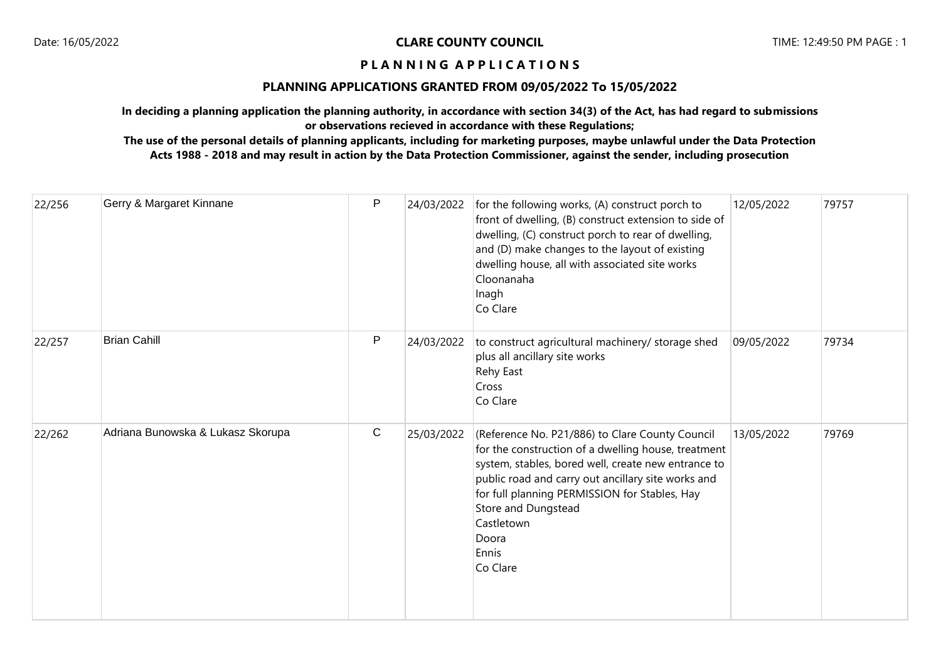# **PLANNING APPLICATIONS GRANTED FROM 09/05/2022 To 15/05/2022**

**In deciding a planning application the planning authority, in accordance with section 34(3) of the Act, has had regard to submissions or observations recieved in accordance with these Regulations;**

| 22/256 | Gerry & Margaret Kinnane          | P           | 24/03/2022 | for the following works, (A) construct porch to<br>front of dwelling, (B) construct extension to side of<br>dwelling, (C) construct porch to rear of dwelling,<br>and (D) make changes to the layout of existing<br>dwelling house, all with associated site works<br>Cloonanaha<br>Inagh<br>Co Clare                                   | 12/05/2022 | 79757 |
|--------|-----------------------------------|-------------|------------|-----------------------------------------------------------------------------------------------------------------------------------------------------------------------------------------------------------------------------------------------------------------------------------------------------------------------------------------|------------|-------|
| 22/257 | <b>Brian Cahill</b>               | P           | 24/03/2022 | to construct agricultural machinery/ storage shed<br>plus all ancillary site works<br>Rehy East<br>Cross<br>Co Clare                                                                                                                                                                                                                    | 09/05/2022 | 79734 |
| 22/262 | Adriana Bunowska & Lukasz Skorupa | $\mathbf C$ | 25/03/2022 | (Reference No. P21/886) to Clare County Council<br>for the construction of a dwelling house, treatment<br>system, stables, bored well, create new entrance to<br>public road and carry out ancillary site works and<br>for full planning PERMISSION for Stables, Hay<br>Store and Dungstead<br>Castletown<br>Doora<br>Ennis<br>Co Clare | 13/05/2022 | 79769 |